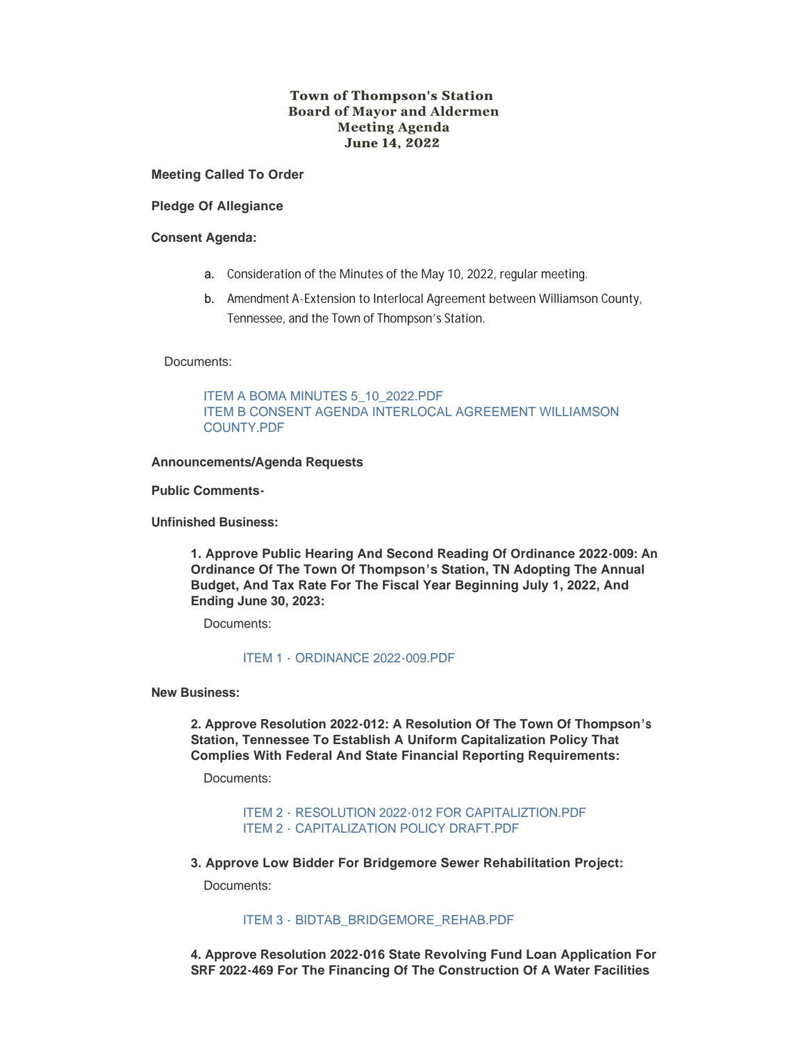# **Town of Thompson's Station Board of Mayor and Aldermen Meeting Agenda June 14, 2022**

**Meeting Called To Order**

**Pledge Of Allegiance**

### **Consent Agenda:**

- a. Consideration of the Minutes of the May 10, 2022, regular meeting.
- b. Amendment A-Extension to Interlocal Agreement between Williamson County, Tennessee, and the Town of Thompson's Station.

## Documents:

[ITEM A BOMA MINUTES 5\\_10\\_2022.PDF](https://www.thompsons-station.com/AgendaCenter/ViewFile/Item/3854?fileID=16424) [ITEM B CONSENT AGENDA INTERLOCAL AGREEMENT WILLIAMSON](https://www.thompsons-station.com/AgendaCenter/ViewFile/Item/3854?fileID=16425)  COUNTY.PDF

### **Announcements/Agenda Requests**

#### **Public Comments-**

**Unfinished Business:**

**1. Approve Public Hearing And Second Reading Of Ordinance 2022-009: An Ordinance Of The Town Of Thompson's Station, TN Adopting The Annual Budget, And Tax Rate For The Fiscal Year Beginning July 1, 2022, And Ending June 30, 2023:**

Documents:

## ITEM 1 - [ORDINANCE 2022-009.PDF](https://www.thompsons-station.com/AgendaCenter/ViewFile/Item/3855?fileID=16426)

**New Business:**

**2. Approve Resolution 2022-012: A Resolution Of The Town Of Thompson's Station, Tennessee To Establish A Uniform Capitalization Policy That Complies With Federal And State Financial Reporting Requirements:** 

Documents:

ITEM 2 - [RESOLUTION 2022-012 FOR CAPITALIZTION.PDF](https://www.thompsons-station.com/AgendaCenter/ViewFile/Item/3856?fileID=16427) ITEM 2 - [CAPITALIZATION POLICY DRAFT.PDF](https://www.thompsons-station.com/AgendaCenter/ViewFile/Item/3856?fileID=16428)

**3. Approve Low Bidder For Bridgemore Sewer Rehabilitation Project:**

Documents:

### ITEM 3 - [BIDTAB\\_BRIDGEMORE\\_REHAB.PDF](https://www.thompsons-station.com/AgendaCenter/ViewFile/Item/3857?fileID=16429)

**4. Approve Resolution 2022-016 State Revolving Fund Loan Application For SRF 2022-469 For The Financing Of The Construction Of A Water Facilities**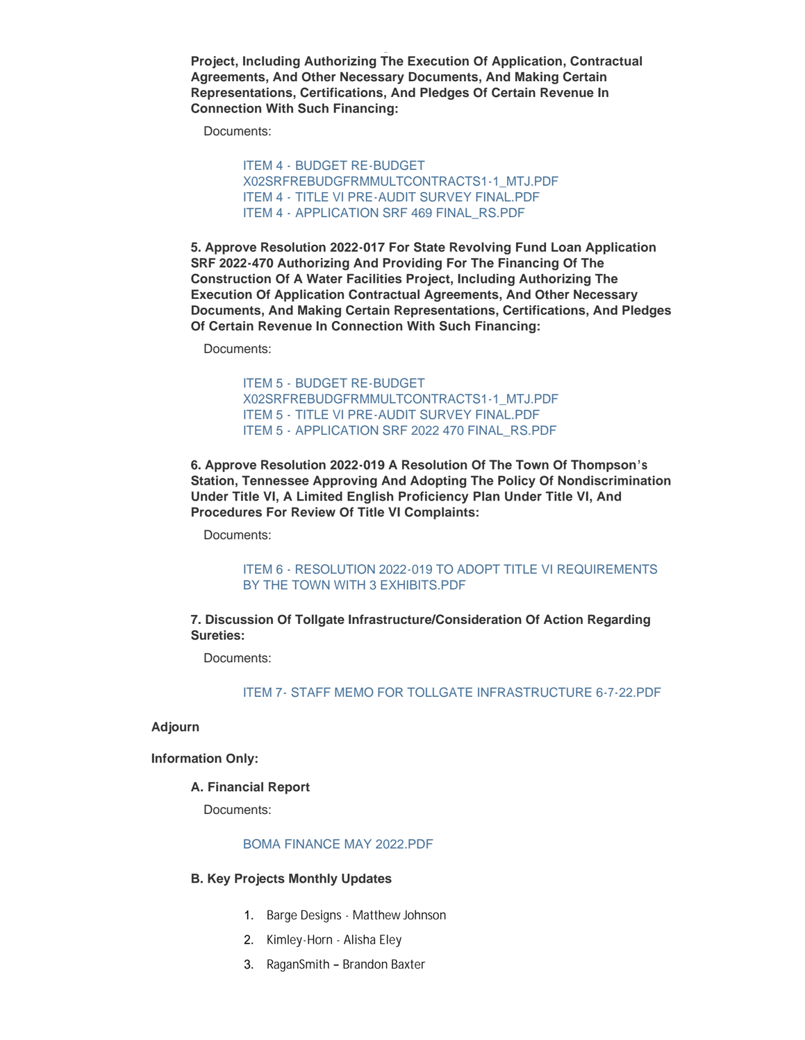**Project, Including Authorizing The Execution Of Application, Contractual Agreements, And Other Necessary Documents, And Making Certain Representations, Certifications, And Pledges Of Certain Revenue In Connection With Such Financing:**

Documents:

ITEM 4 - BUDGET RE-BUDGET [X02SRFREBUDGFRMMULTCONTRACTS1-1\\_MTJ.PDF](https://www.thompsons-station.com/AgendaCenter/ViewFile/Item/3858?fileID=16441) ITEM 4 - [TITLE VI PRE-AUDIT SURVEY FINAL.PDF](https://www.thompsons-station.com/AgendaCenter/ViewFile/Item/3858?fileID=16431) ITEM 4 - [APPLICATION SRF 469 FINAL\\_RS.PDF](https://www.thompsons-station.com/AgendaCenter/ViewFile/Item/3858?fileID=16432)

**5. Approve Resolution 2022-017 For State Revolving Fund Loan Application SRF 2022-470 Authorizing And Providing For The Financing Of The Construction Of A Water Facilities Project, Including Authorizing The Execution Of Application Contractual Agreements, And Other Necessary Documents, And Making Certain Representations, Certifications, And Pledges Of Certain Revenue In Connection With Such Financing:**

Documents:

ITEM 5 - BUDGET RE-BUDGET [X02SRFREBUDGFRMMULTCONTRACTS1-1\\_MTJ.PDF](https://www.thompsons-station.com/AgendaCenter/ViewFile/Item/3859?fileID=16442) ITEM 5 - [TITLE VI PRE-AUDIT SURVEY FINAL.PDF](https://www.thompsons-station.com/AgendaCenter/ViewFile/Item/3859?fileID=16434) ITEM 5 - [APPLICATION SRF 2022 470 FINAL\\_RS.PDF](https://www.thompsons-station.com/AgendaCenter/ViewFile/Item/3859?fileID=16435)

**6. Approve Resolution 2022-019 A Resolution Of The Town Of Thompson's Station, Tennessee Approving And Adopting The Policy Of Nondiscrimination Under Title VI, A Limited English Proficiency Plan Under Title VI, And Procedures For Review Of Title VI Complaints:**

Documents:

[ITEM 6 - RESOLUTION 2022-019 TO ADOPT TITLE VI REQUIREMENTS](https://www.thompsons-station.com/AgendaCenter/ViewFile/Item/3860?fileID=16436)  BY THE TOWN WITH 3 EXHIBITS.PDF

**7. Discussion Of Tollgate Infrastructure/Consideration Of Action Regarding Sureties:**

Documents:

[ITEM 7- STAFF MEMO FOR TOLLGATE INFRASTRUCTURE 6-7-22.PDF](https://www.thompsons-station.com/AgendaCenter/ViewFile/Item/3861?fileID=16437)

**Adjourn**

**Information Only:**

## **A. Financial Report**

Documents:

## [BOMA FINANCE MAY 2022.PDF](https://www.thompsons-station.com/AgendaCenter/ViewFile/Item/3862?fileID=16443)

#### **B. Key Projects Monthly Updates**

- 1. Barge Designs Matthew Johnson
- 2. Kimley-Horn Alisha Eley
- 3. RaganSmith Brandon Baxter